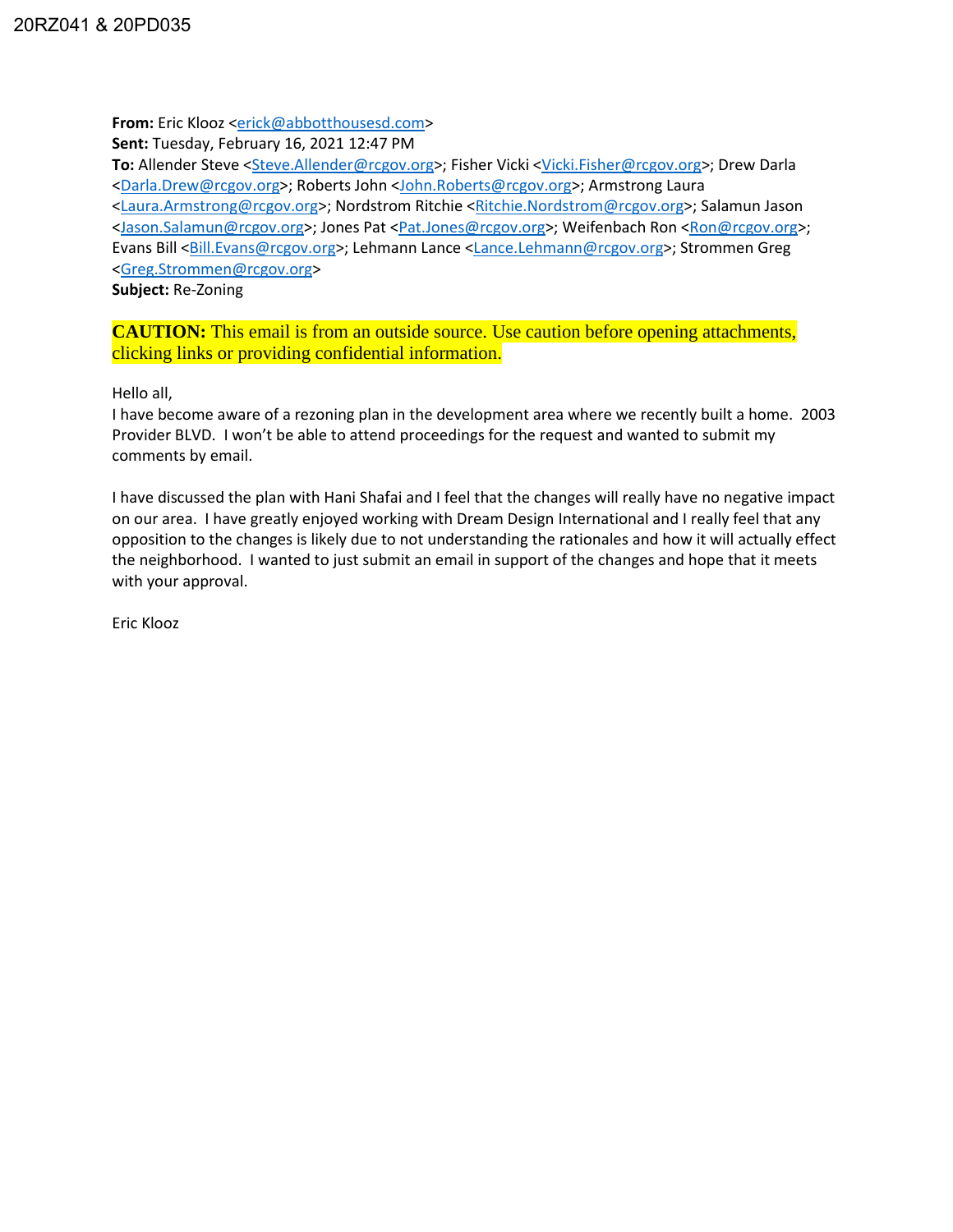**From:** Eric Klooz [<erick@abbotthousesd.com>](mailto:erick@abbotthousesd.com)

**Sent:** Tuesday, February 16, 2021 12:47 PM

**To:** Allender Steve [<Steve.Allender@rcgov.org>](mailto:Steve.Allender@rcgov.org); Fisher Vicki [<Vicki.Fisher@rcgov.org>](mailto:Vicki.Fisher@rcgov.org); Drew Darla [<Darla.Drew@rcgov.org>](mailto:Darla.Drew@rcgov.org); Roberts John [<John.Roberts@rcgov.org>](mailto:John.Roberts@rcgov.org); Armstrong Laura [<Laura.Armstrong@rcgov.org>](mailto:Laura.Armstrong@rcgov.org); Nordstrom Ritchie [<Ritchie.Nordstrom@rcgov.org>](mailto:Ritchie.Nordstrom@rcgov.org); Salamun Jason [<Jason.Salamun@rcgov.org>](mailto:Jason.Salamun@rcgov.org); Jones Pat [<Pat.Jones@rcgov.org>](mailto:Pat.Jones@rcgov.org); Weifenbach Ron [<Ron@rcgov.org>](mailto:Ron@rcgov.org); Evans Bill [<Bill.Evans@rcgov.org>](mailto:Bill.Evans@rcgov.org); Lehmann Lance [<Lance.Lehmann@rcgov.org>](mailto:Lance.Lehmann@rcgov.org); Strommen Greg [<Greg.Strommen@rcgov.org>](mailto:Greg.Strommen@rcgov.org)

**Subject:** Re-Zoning

**CAUTION:** This email is from an outside source. Use caution before opening attachments, clicking links or providing confidential information.

Hello all,

I have become aware of a rezoning plan in the development area where we recently built a home. 2003 Provider BLVD. I won't be able to attend proceedings for the request and wanted to submit my comments by email.

I have discussed the plan with Hani Shafai and I feel that the changes will really have no negative impact on our area. I have greatly enjoyed working with Dream Design International and I really feel that any opposition to the changes is likely due to not understanding the rationales and how it will actually effect the neighborhood. I wanted to just submit an email in support of the changes and hope that it meets with your approval.

Eric Klooz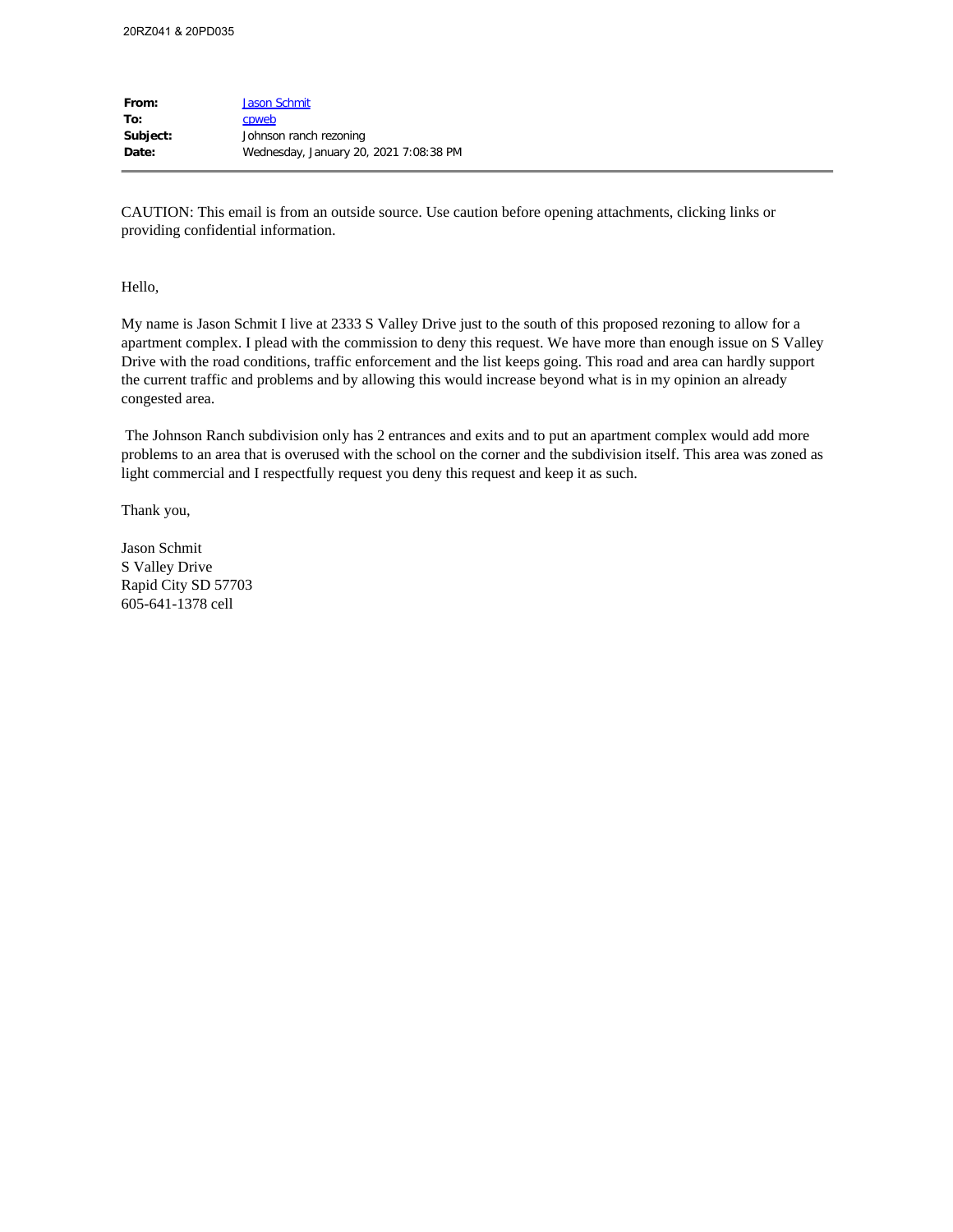| <b>Jason Schmit</b>                    |
|----------------------------------------|
| cpweb                                  |
| Johnson ranch rezoning                 |
| Wednesday, January 20, 2021 7:08:38 PM |
|                                        |

CAUTION: This email is from an outside source. Use caution before opening attachments, clicking links or providing confidential information.

## Hello,

My name is Jason Schmit I live at 2333 S Valley Drive just to the south of this proposed rezoning to allow for a apartment complex. I plead with the commission to deny this request. We have more than enough issue on S Valley Drive with the road conditions, traffic enforcement and the list keeps going. This road and area can hardly support the current traffic and problems and by allowing this would increase beyond what is in my opinion an already congested area.

The Johnson Ranch subdivision only has 2 entrances and exits and to put an apartment complex would add more problems to an area that is overused with the school on the corner and the subdivision itself. This area was zoned as light commercial and I respectfully request you deny this request and keep it as such.

Thank you,

Jason Schmit S Valley Drive Rapid City SD 57703 605-641-1378 cell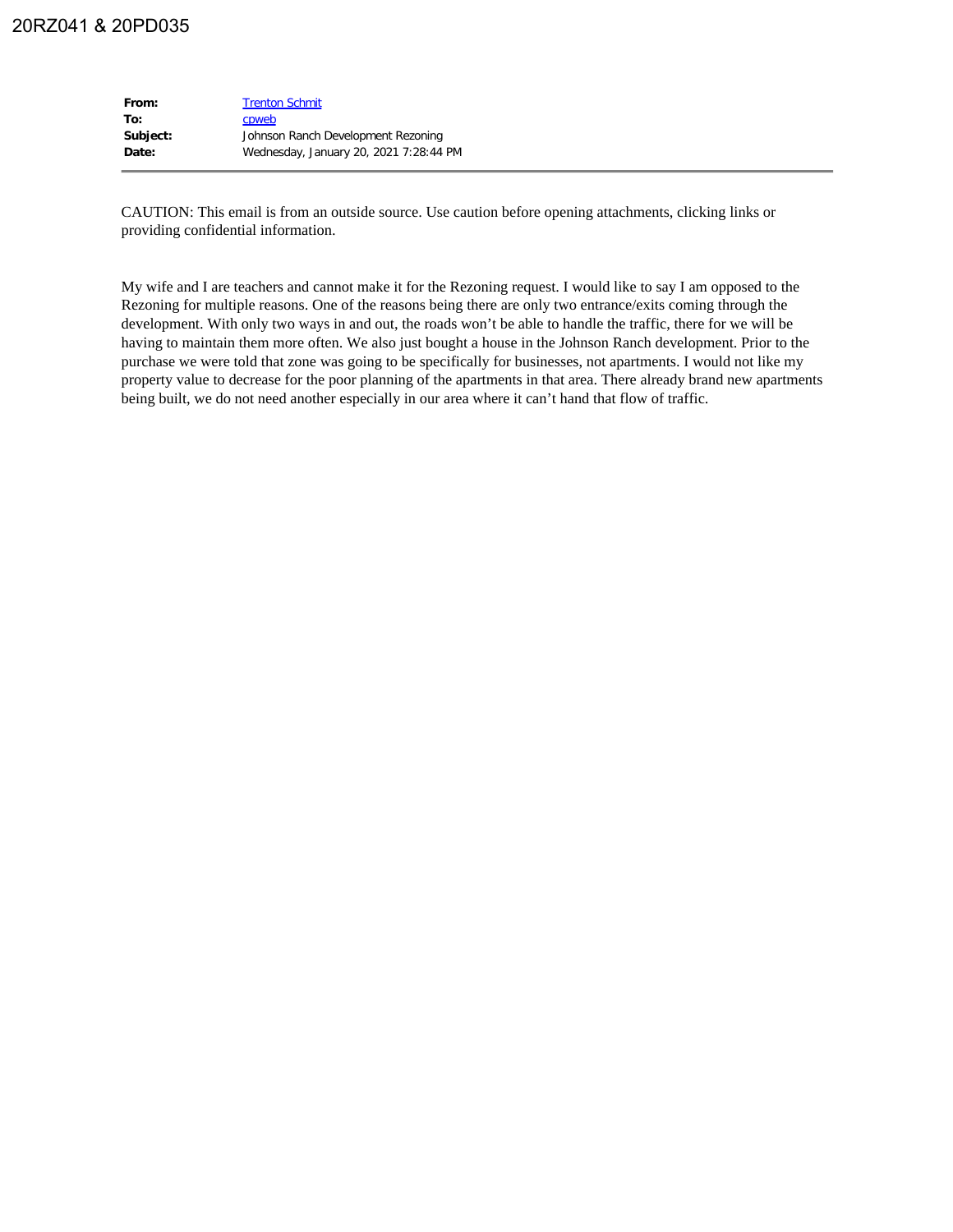| From:    | <b>Trenton Schmit</b>                  |
|----------|----------------------------------------|
| To:      | cpweb                                  |
| Subject: | Johnson Ranch Development Rezoning     |
| Date:    | Wednesday, January 20, 2021 7:28:44 PM |
|          |                                        |

CAUTION: This email is from an outside source. Use caution before opening attachments, clicking links or providing confidential information.

My wife and I are teachers and cannot make it for the Rezoning request. I would like to say I am opposed to the Rezoning for multiple reasons. One of the reasons being there are only two entrance/exits coming through the development. With only two ways in and out, the roads won't be able to handle the traffic, there for we will be having to maintain them more often. We also just bought a house in the Johnson Ranch development. Prior to the purchase we were told that zone was going to be specifically for businesses, not apartments. I would not like my property value to decrease for the poor planning of the apartments in that area. There already brand new apartments being built, we do not need another especially in our area where it can't hand that flow of traffic.